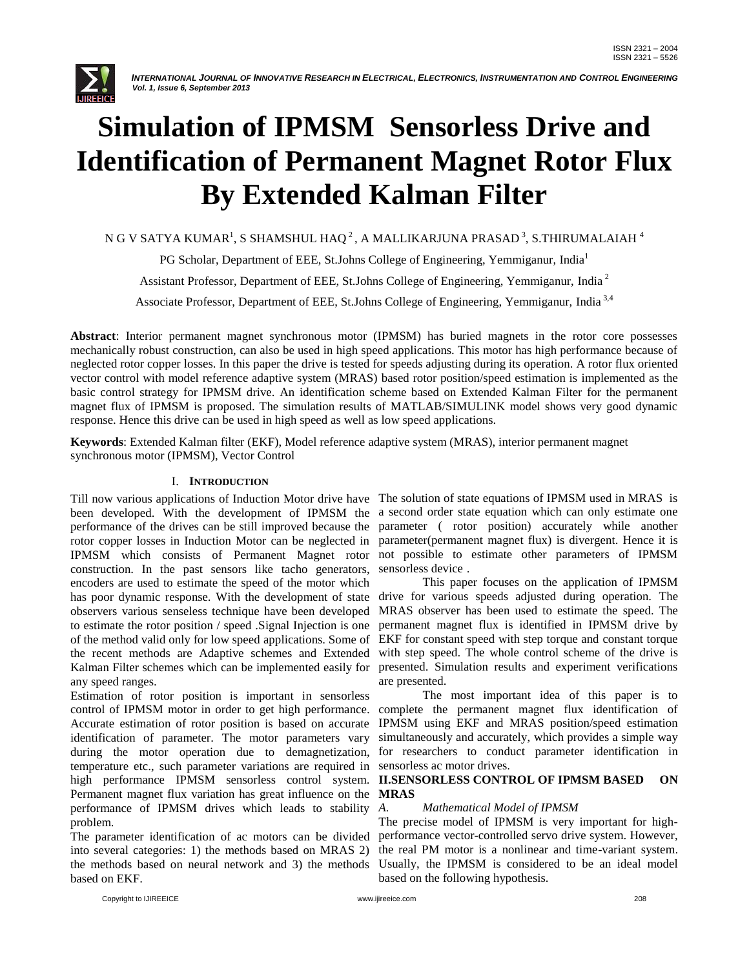

# **Simulation of IPMSM Sensorless Drive and Identification of Permanent Magnet Rotor Flux By Extended Kalman Filter**

N G V SATYA KUMAR $^{\rm l}$ , S SHAMSHUL HAQ $^{\rm 2}$ , A MALLIKARJUNA PRASAD $^{\rm 3}$ , S.THIRUMALAIAH  $^{\rm 4}$ 

PG Scholar, Department of EEE, St.Johns College of Engineering, Yemmiganur, India<sup>1</sup>

Assistant Professor, Department of EEE, St.Johns College of Engineering, Yemmiganur, India <sup>2</sup>

Associate Professor, Department of EEE, St.Johns College of Engineering, Yemmiganur, India 3,4

**Abstract**: Interior permanent magnet synchronous motor (IPMSM) has buried magnets in the rotor core possesses mechanically robust construction, can also be used in high speed applications. This motor has high performance because of neglected rotor copper losses. In this paper the drive is tested for speeds adjusting during its operation. A rotor flux oriented vector control with model reference adaptive system (MRAS) based rotor position/speed estimation is implemented as the basic control strategy for IPMSM drive. An identification scheme based on Extended Kalman Filter for the permanent magnet flux of IPMSM is proposed. The simulation results of MATLAB/SIMULINK model shows very good dynamic response. Hence this drive can be used in high speed as well as low speed applications.

**Keywords**: Extended Kalman filter (EKF), Model reference adaptive system (MRAS), interior permanent magnet synchronous motor (IPMSM), Vector Control

### I. **INTRODUCTION**

Till now various applications of Induction Motor drive have The solution of state equations of IPMSM used in MRAS is been developed. With the development of IPMSM the a second order state equation which can only estimate one performance of the drives can be still improved because the parameter ( rotor position) accurately while another rotor copper losses in Induction Motor can be neglected in parameter(permanent magnet flux) is divergent. Hence it is IPMSM which consists of Permanent Magnet rotor not possible to estimate other parameters of IPMSM construction. In the past sensors like tacho generators, encoders are used to estimate the speed of the motor which has poor dynamic response. With the development of state observers various senseless technique have been developed MRAS observer has been used to estimate the speed. The to estimate the rotor position / speed .Signal Injection is one of the method valid only for low speed applications. Some of the recent methods are Adaptive schemes and Extended Kalman Filter schemes which can be implemented easily for presented. Simulation results and experiment verifications any speed ranges.

Estimation of rotor position is important in sensorless control of IPMSM motor in order to get high performance. Accurate estimation of rotor position is based on accurate identification of parameter. The motor parameters vary during the motor operation due to demagnetization, temperature etc., such parameter variations are required in sensorless ac motor drives. high performance IPMSM sensorless control system. Permanent magnet flux variation has great influence on the **MRAS** performance of IPMSM drives which leads to stability A. problem.

The parameter identification of ac motors can be divided into several categories: 1) the methods based on MRAS 2) the methods based on neural network and 3) the methods based on EKF.

sensorless device .

This paper focuses on the application of IPMSM drive for various speeds adjusted during operation. The permanent magnet flux is identified in IPMSM drive by EKF for constant speed with step torque and constant torque with step speed. The whole control scheme of the drive is are presented.

The most important idea of this paper is to complete the permanent magnet flux identification of IPMSM using EKF and MRAS position/speed estimation simultaneously and accurately, which provides a simple way for researchers to conduct parameter identification in

# **II.SENSORLESS CONTROL OF IPMSM BASED ON**

# *A. Mathematical Model of IPMSM*

The precise model of IPMSM is very important for highperformance vector-controlled servo drive system. However, the real PM motor is a nonlinear and time-variant system. Usually, the IPMSM is considered to be an ideal model based on the following hypothesis.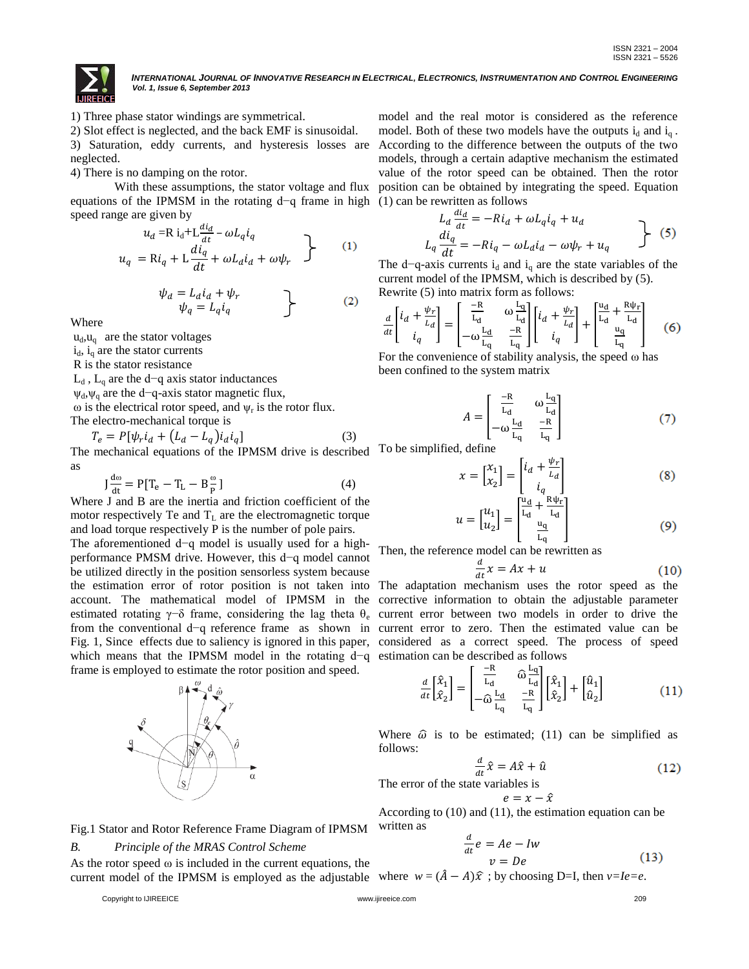

1) Three phase stator windings are symmetrical.

2) Slot effect is neglected, and the back EMF is sinusoidal.

3) Saturation, eddy currents, and hysteresis losses are neglected.

4) There is no damping on the rotor.

With these assumptions, the stator voltage and flux equations of the IPMSM in the rotating d−q frame in high (1) can be rewritten as follows speed range are given by

$$
u_{d} = \mathbf{R} i_{d} + \mathbf{L} \frac{di_{d}}{dt} - \omega L_{q} i_{q}
$$
  

$$
u_{q} = \mathbf{R} i_{q} + \mathbf{L} \frac{di_{q}}{dt} + \omega L_{d} i_{d} + \omega \psi_{r}
$$
 (1)

$$
\psi_a = L_d i_d + \psi_r \n\psi_q = L_q i_q
$$
\n(2)

Where

 $u_d$ ,  $u_q$  are the stator voltages

 $i_d$ ,  $i_d$  are the stator currents

R is the stator resistance

 $L_d$ ,  $L_q$  are the d−q axis stator inductances

 $\psi_d$ , $\psi_q$  are the d−q-axis stator magnetic flux,

 $\omega$  is the electrical rotor speed, and  $\psi_r$  is the rotor flux. The electro-mechanical torque is

The electron-internal torque is  
\n
$$
T_e = P[\psi_r i_d + (L_d - L_q) i_d i_q]
$$
\nThe mechanical equations of the IPMSM drive is described

as

$$
J\frac{d\omega}{dt} = P[T_e - T_L - B\frac{\omega}{P}]
$$
 (4)

Where J and B are the inertia and friction coefficient of the motor respectively Te and  $T_L$  are the electromagnetic torque and load torque respectively P is the number of pole pairs.

The aforementioned d−q model is usually used for a highperformance PMSM drive. However, this d−q model cannot be utilized directly in the position sensorless system because the estimation error of rotor position is not taken into The adaptation mechanism uses the rotor speed as the estimation error of rotor position is not taken into The adaptation mechanism uses the rotor speed as the account. The mathematical model of IPMSM in the corrective information to obtain the adjustable parameter estimated rotating γ−δ frame, considering the lag theta θ<sub>e</sub> current error between two models in order to drive the from the conventional d−q reference frame as shown in current error to zero. Then the estimated value can be Fig. 1, Since effects due to saliency is ignored in this paper, considered as a correct speed. The process of speed which means that the IPMSM model in the rotating d−q estimation can be described as follows frame is employed to estimate the rotor position and speed.



Fig.1 Stator and Rotor Reference Frame Diagram of IPMSM

#### *B. Principle of the MRAS Control Scheme*

As the rotor speed  $\omega$  is included in the current equations, the current model of the IPMSM is employed as the adjustable where  $w = (\hat{A} - A)\hat{x}$ ; by choosing D=I, then  $v=Ie=e$ .

Copyright to IJIREEICE www.ijireeice.com 209

model and the real motor is considered as the reference model. Both of these two models have the outputs  $i_d$  and  $i_q$ . According to the difference between the outputs of the two models, through a certain adaptive mechanism the estimated value of the rotor speed can be obtained. Then the rotor position can be obtained by integrating the speed. Equation

$$
L_d \frac{di_d}{dt} = -Ri_d + \omega L_q i_q + u_d
$$
  
\n
$$
L_q \frac{di_q}{dt} = -Ri_q - \omega L_d i_d - \omega \psi_r + u_q
$$
 (5)

The d–q-axis currents  $i_d$  and  $i_q$  are the state variables of the current model of the IPMSM, which is described by (5). Rewrite (5) into matrix form as follows:

$$
\frac{d}{dt} \begin{bmatrix} i_d + \frac{\psi_r}{L_d} \\ i_q \end{bmatrix} = \begin{bmatrix} \frac{-R}{L_d} & \omega \frac{L_q}{L_d} \\ -\omega \frac{L_q}{L_q} & \frac{-R}{L_q} \end{bmatrix} \begin{bmatrix} i_d + \frac{\psi_r}{L_d} \\ i_q \end{bmatrix} + \begin{bmatrix} \frac{u_d}{L_d} + \frac{R\Psi_r}{L_d} \\ \frac{u_q}{L_q} \end{bmatrix}
$$
(6)

For the convenience of stability analysis, the speed  $\omega$  has been confined to the system matrix

$$
A = \begin{bmatrix} \frac{-R}{L_d} & \omega \frac{L_q}{L_d} \\ -\omega \frac{L_d}{L_q} & \frac{-R}{L_q} \end{bmatrix}
$$
 (7)

 $\sigma$  To be simplified, define

$$
x = \begin{bmatrix} x_1 \\ x_2 \end{bmatrix} = \begin{bmatrix} i_d + \frac{\psi_r}{L_d} \\ i_q \end{bmatrix}
$$
 (8)

$$
u = \begin{bmatrix} u_1 \\ u_2 \end{bmatrix} = \begin{bmatrix} \frac{u_d}{L_d} + \frac{R\psi_r}{L_d} \\ \frac{u_q}{L_q} \end{bmatrix}
$$
 (9)

Then, the reference model can be rewritten as

$$
\frac{d}{dt}x = Ax + u \tag{10}
$$

$$
\frac{d}{dt} \begin{bmatrix} \hat{x}_1 \\ \hat{x}_2 \end{bmatrix} = \begin{bmatrix} \frac{-R}{L_d} & \hat{\omega} \frac{L_q}{L_d} \\ -\hat{\omega} \frac{L_d}{L_q} & \frac{-R}{L_q} \end{bmatrix} \begin{bmatrix} \hat{x}_1 \\ \hat{x}_2 \end{bmatrix} + \begin{bmatrix} \hat{u}_1 \\ \hat{u}_2 \end{bmatrix}
$$
(11)

Where  $\hat{\omega}$  is to be estimated; (11) can be simplified as follows:

$$
\frac{d}{dt}\hat{x} = A\hat{x} + \hat{u} \tag{12}
$$

The error of the state variables is

$$
e=x-\hat{x}
$$

According to (10) and (11), the estimation equation can be written as

$$
\frac{d}{dt}e = Ae - Iw
$$
  

$$
v = De
$$
 (13)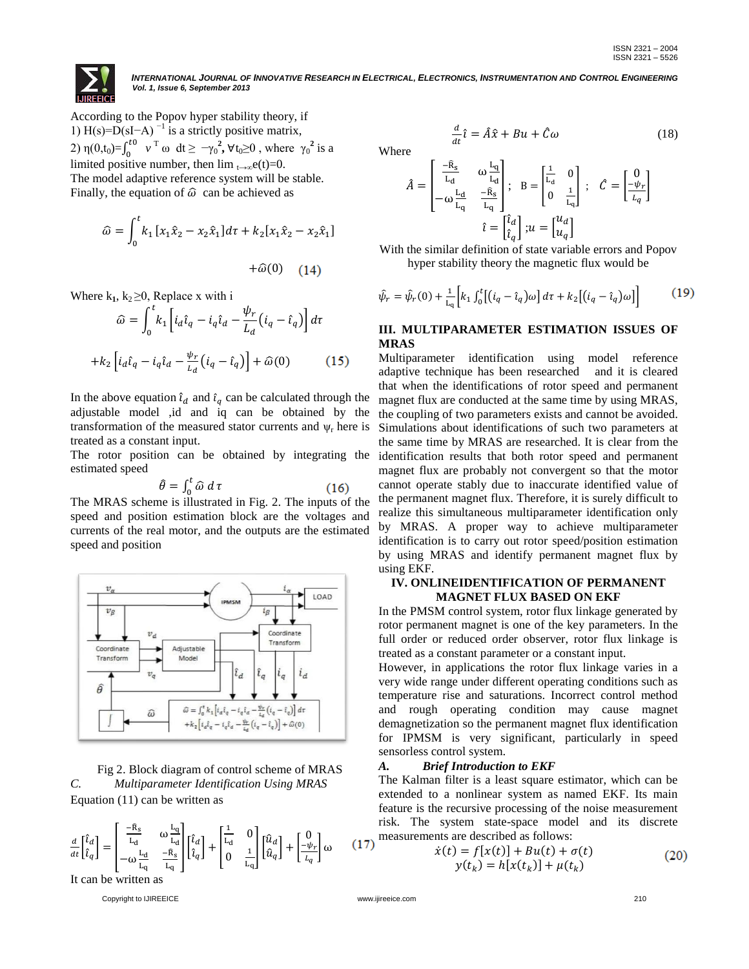

d

According to the Popov hyper stability theory, if 1) H(s)= $\overline{D}$ (sI−A)<sup>-1</sup> is a strictly positive matrix, 2) η $(0,t_0)=\int_0^t$ <sup>•*t*0</sup> *v*<sup>T</sup> ω dt ≥ −γ<sub>0</sub><sup>2</sup>, ∀t<sub>0</sub>≥0, where γ<sub>0</sub><sup>2</sup> is a limited positive number, then  $\lim_{t\to\infty} e(t)=0$ . The model adaptive reference system will be stable. Finally, the equation of  $\hat{\omega}$  can be achieved as

$$
\hat{\omega} = \int_0^t k_1 \left[ x_1 \hat{x}_2 - x_2 \hat{x}_1 \right] d\tau + k_2 \left[ x_1 \hat{x}_2 - x_2 \hat{x}_1 \right] + \hat{\omega}(0) \tag{14}
$$

Where  $k_1, k_2 \geq 0$ , Replace x with i

$$
\widehat{\omega} = \int_0^t k_1 \left[ i_d \widehat{\iota}_q - i_q \widehat{\iota}_d - \frac{\psi_r}{L_d} (i_q - \widehat{\iota}_q) \right] d\tau
$$

$$
+ k_2 \left[ i_d \widehat{\iota}_q - i_q \widehat{\iota}_d - \frac{\psi_r}{L_d} (i_q - \widehat{\iota}_q) \right] + \widehat{\omega}(0) \tag{15}
$$

In the above equation  $\hat{\iota}_d$  and  $\hat{\iota}_q$  can be calculated through the adjustable model ,id and iq can be obtained by the transformation of the measured stator currents and  $\psi_r$  here is treated as a constant input.

The rotor position can be obtained by integrating the estimated speed

$$
\hat{\theta} = \int_0^t \hat{\omega} \, d\,\tau \tag{16}
$$

The MRAS scheme is illustrated in Fig. 2. The inputs of the speed and position estimation block are the voltages and currents of the real motor, and the outputs are the estimated speed and position



Fig 2. Block diagram of control scheme of MRAS *C. Multiparameter Identification Using MRAS* Equation (11) can be written as

$$
\frac{d}{dt} \begin{bmatrix} \hat{\iota}_d \\ \hat{\iota}_q \end{bmatrix} = \begin{bmatrix} \frac{-\hat{\mathbf{R}}_S}{\mathbf{L}_d} & \omega \frac{\mathbf{L}_q}{\mathbf{L}_d} \\ -\omega \frac{\mathbf{L}_d}{\mathbf{L}_q} & \frac{-\hat{\mathbf{R}}_S}{\mathbf{L}_q} \end{bmatrix} \begin{bmatrix} \hat{\iota}_d \\ \hat{\iota}_q \end{bmatrix} + \begin{bmatrix} \frac{1}{\mathbf{L}_d} & 0 \\ 0 & \frac{1}{\mathbf{L}_q} \end{bmatrix} \begin{bmatrix} \hat{\mathbf{u}}_d \\ \hat{\mathbf{u}}_q \end{bmatrix} + \begin{bmatrix} 0 \\ -\psi_r \\ \frac{\psi_r}{\mathbf{L}_q} \end{bmatrix} \omega \quad (17)
$$

It can be written as

Copyright to IJIREEICE www.ijireeice.com 210

$$
\frac{1}{\text{Where}}
$$

$$
\hat{A} = \begin{bmatrix} \frac{-\hat{R}_s}{L_d} & \omega \frac{L_q}{L_d} \\ -\omega \frac{L_d}{L_q} & \frac{-\hat{R}_s}{L_q} \end{bmatrix}; \quad B = \begin{bmatrix} \frac{1}{L_d} & 0 \\ 0 & \frac{1}{L_q} \end{bmatrix}; \quad \hat{C} = \begin{bmatrix} 0 \\ -\psi_r \\ \hline \psi_r \end{bmatrix}
$$

$$
\hat{\iota} = \begin{bmatrix} \hat{\iota}_d \\ \hat{\iota}_q \end{bmatrix}; u = \begin{bmatrix} u_d \\ u_q \end{bmatrix}
$$

 $\frac{d}{dt}\hat{\iota} = \hat{A}\hat{x} + Bu + \hat{C}\omega$  (18)

With the similar definition of state variable errors and Popov hyper stability theory the magnetic flux would be

$$
\hat{\psi}_r = \hat{\psi}_r(0) + \frac{1}{L_q} \left[ k_1 \int_0^t \left[ (i_q - \hat{\iota}_q) \omega \right] d\tau + k_2 \left[ (i_q - \hat{\iota}_q) \omega \right] \right]
$$
(19)

# **III. MULTIPARAMETER ESTIMATION ISSUES OF MRAS**

Multiparameter identification using model reference adaptive technique has been researched and it is cleared that when the identifications of rotor speed and permanent magnet flux are conducted at the same time by using MRAS, the coupling of two parameters exists and cannot be avoided. Simulations about identifications of such two parameters at the same time by MRAS are researched. It is clear from the identification results that both rotor speed and permanent magnet flux are probably not convergent so that the motor cannot operate stably due to inaccurate identified value of the permanent magnet flux. Therefore, it is surely difficult to realize this simultaneous multiparameter identification only by MRAS. A proper way to achieve multiparameter identification is to carry out rotor speed/position estimation by using MRAS and identify permanent magnet flux by using EKF.

#### **IV. ONLINEIDENTIFICATION OF PERMANENT MAGNET FLUX BASED ON EKF**

In the PMSM control system, rotor flux linkage generated by rotor permanent magnet is one of the key parameters. In the full order or reduced order observer, rotor flux linkage is treated as a constant parameter or a constant input.

However, in applications the rotor flux linkage varies in a very wide range under different operating conditions such as temperature rise and saturations. Incorrect control method and rough operating condition may cause magnet demagnetization so the permanent magnet flux identification for IPMSM is very significant, particularly in speed sensorless control system.

#### *A. Brief Introduction to EKF*

The Kalman filter is a least square estimator, which can be extended to a nonlinear system as named EKF. Its main feature is the recursive processing of the noise measurement risk. The system state-space model and its discrete measurements are described as follows:

$$
\dot{x}(t) = f[x(t)] + Bu(t) + \sigma(t) \n y(t_k) = h[x(t_k)] + \mu(t_k)
$$
\n(20)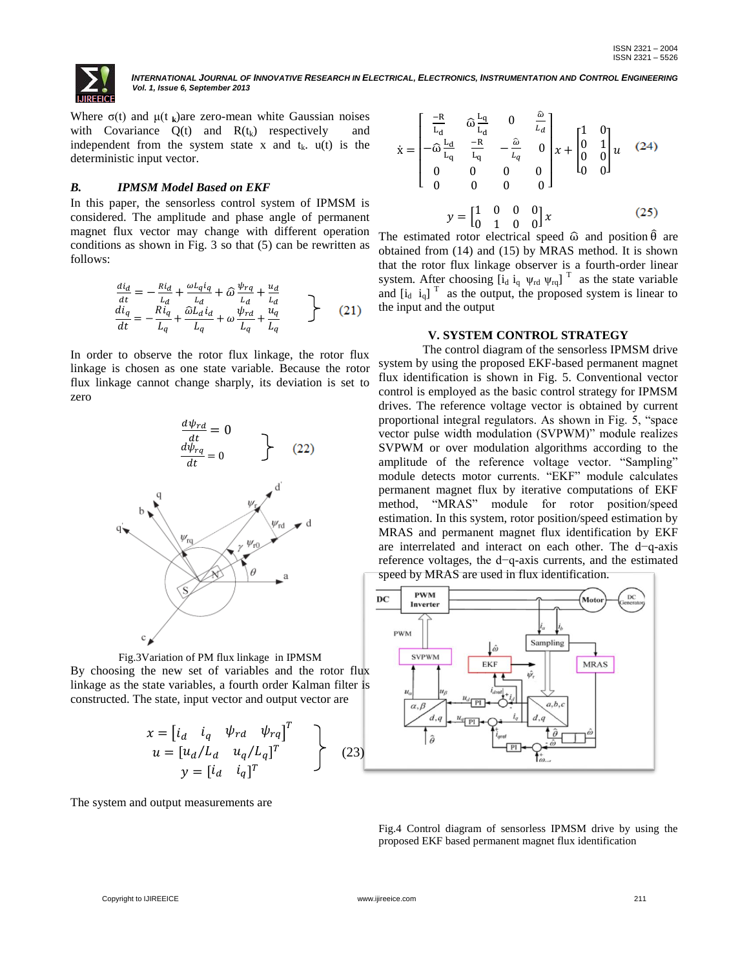

Where  $\sigma(t)$  and  $\mu(t_k)$ are zero-mean white Gaussian noises with Covariance  $Q(t)$  and  $R(t_k)$  respectively and independent from the system state x and  $t_k$ .  $u(t)$  is the deterministic input vector.

#### *B. IPMSM Model Based on EKF*

In this paper, the sensorless control system of IPMSM is considered. The amplitude and phase angle of permanent magnet flux vector may change with different operation conditions as shown in Fig. 3 so that (5) can be rewritten as follows:

$$
\begin{array}{l}\n\frac{di_d}{dt} = -\frac{Ri_d}{L_d} + \frac{\omega L_q i_q}{L_d} + \hat{\omega} \frac{\psi_{rq}}{L_d} + \frac{u_d}{L_d} \\
\frac{di_q}{dt} = -\frac{Ri_q}{L_q} + \frac{\hat{\omega} L_d i_d}{L_q} + \omega \frac{\psi_{rd}}{L_q} + \frac{u_q}{L_q}\n\end{array} \n\tag{21}
$$

In order to observe the rotor flux linkage, the rotor flux linkage is chosen as one state variable. Because the rotor flux linkage cannot change sharply, its deviation is set to zero





$$
x = \begin{bmatrix} i_d & i_q & \psi_{rd} & \psi_{rq} \end{bmatrix}^T
$$
  
\n
$$
u = [u_d/L_d & u_q/L_q]^T
$$
  
\n
$$
y = [i_d & i_q]^T
$$
 (23)

The system and output measurements are

$$
\dot{\mathbf{x}} = \begin{bmatrix} \frac{-R}{L_d} & \hat{\omega} \frac{L_q}{L_d} & 0 & \frac{\hat{\omega}}{L_d} \\ -\hat{\omega} \frac{L_d}{L_q} & \frac{-R}{L_q} & -\frac{\hat{\omega}}{L_q} & 0 \\ 0 & 0 & 0 & 0 \\ 0 & 0 & 0 & 0 \end{bmatrix} \mathbf{x} + \begin{bmatrix} 1 & 0 \\ 0 & 1 \\ 0 & 0 \end{bmatrix} \mathbf{u} \quad (24)
$$

$$
\mathbf{y} = \begin{bmatrix} 1 & 0 & 0 & 0 \\ 0 & 1 & 0 & 0 \end{bmatrix} \mathbf{x} \qquad (25)
$$

The estimated rotor electrical speed  $\hat{\omega}$  and position  $\hat{\theta}$  are obtained from (14) and (15) by MRAS method. It is shown that the rotor flux linkage observer is a fourth-order linear system. After choosing  $[\mathbf{i}_d \ \mathbf{i}_q \ \mathbf{\psi}_{rd} \ \mathbf{\psi}_{rq}]^T$  as the state variable and  $[i_d \ i_q]$ <sup>T</sup> as the output, the proposed system is linear to the input and the output

#### **V. SYSTEM CONTROL STRATEGY**

The control diagram of the sensorless IPMSM drive system by using the proposed EKF-based permanent magnet flux identification is shown in Fig. 5. Conventional vector control is employed as the basic control strategy for IPMSM drives. The reference voltage vector is obtained by current proportional integral regulators. As shown in Fig. 5, "space vector pulse width modulation (SVPWM)" module realizes SVPWM or over modulation algorithms according to the amplitude of the reference voltage vector. "Sampling" module detects motor currents. "EKF" module calculates permanent magnet flux by iterative computations of EKF method, "MRAS" module for rotor position/speed estimation. In this system, rotor position/speed estimation by MRAS and permanent magnet flux identification by EKF are interrelated and interact on each other. The d−q-axis reference voltages, the d−q-axis currents, and the estimated speed by MRAS are used in flux identification.



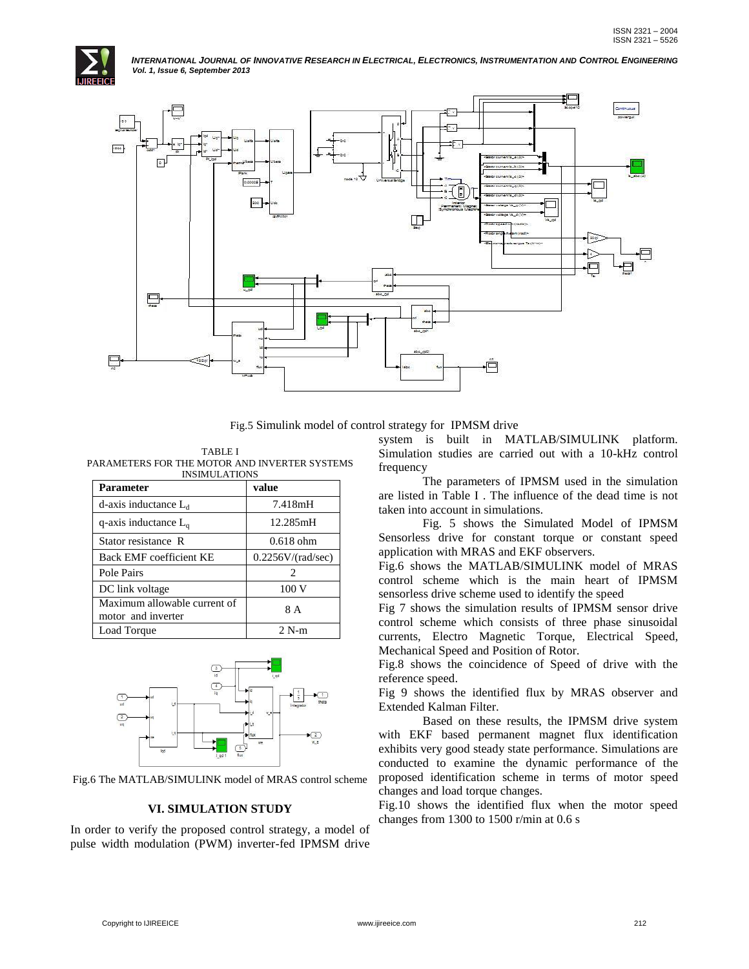



Fig.5 Simulink model of control strategy for IPMSM drive

TABLE I PARAMETERS FOR THE MOTOR AND INVERTER SYSTEMS INSIMUL ATIONS

| <b>Parameter</b>                                   | value                       |
|----------------------------------------------------|-----------------------------|
| d-axis inductance $L_d$                            | 7.418mH                     |
| q-axis inductance $L_{q}$                          | 12.285mH                    |
| Stator resistance R                                | $0.618$ ohm                 |
| Back EMF coefficient KE                            | 0.2256V/(rad/sec)           |
| Pole Pairs                                         | $\mathcal{D}_{\mathcal{L}}$ |
| DC link voltage                                    | 100V                        |
| Maximum allowable current of<br>motor and inverter | 8 A                         |
| Load Torque                                        | $2 N-m$                     |



Fig.6 The MATLAB/SIMULINK model of MRAS control scheme

# **VI. SIMULATION STUDY**

In order to verify the proposed control strategy, a model of pulse width modulation (PWM) inverter-fed IPMSM drive

system is built in MATLAB/SIMULINK platform. Simulation studies are carried out with a 10-kHz control frequency

The parameters of IPMSM used in the simulation are listed in Table I . The influence of the dead time is not taken into account in simulations.

Fig. 5 shows the Simulated Model of IPMSM Sensorless drive for constant torque or constant speed application with MRAS and EKF observers.

Fig.6 shows the MATLAB/SIMULINK model of MRAS control scheme which is the main heart of IPMSM sensorless drive scheme used to identify the speed

Fig 7 shows the simulation results of IPMSM sensor drive control scheme which consists of three phase sinusoidal currents, Electro Magnetic Torque, Electrical Speed, Mechanical Speed and Position of Rotor.

Fig.8 shows the coincidence of Speed of drive with the reference speed.

Fig 9 shows the identified flux by MRAS observer and Extended Kalman Filter.

Based on these results, the IPMSM drive system with EKF based permanent magnet flux identification exhibits very good steady state performance. Simulations are conducted to examine the dynamic performance of the proposed identification scheme in terms of motor speed changes and load torque changes.

Fig.10 shows the identified flux when the motor speed changes from 1300 to 1500 r/min at 0.6 s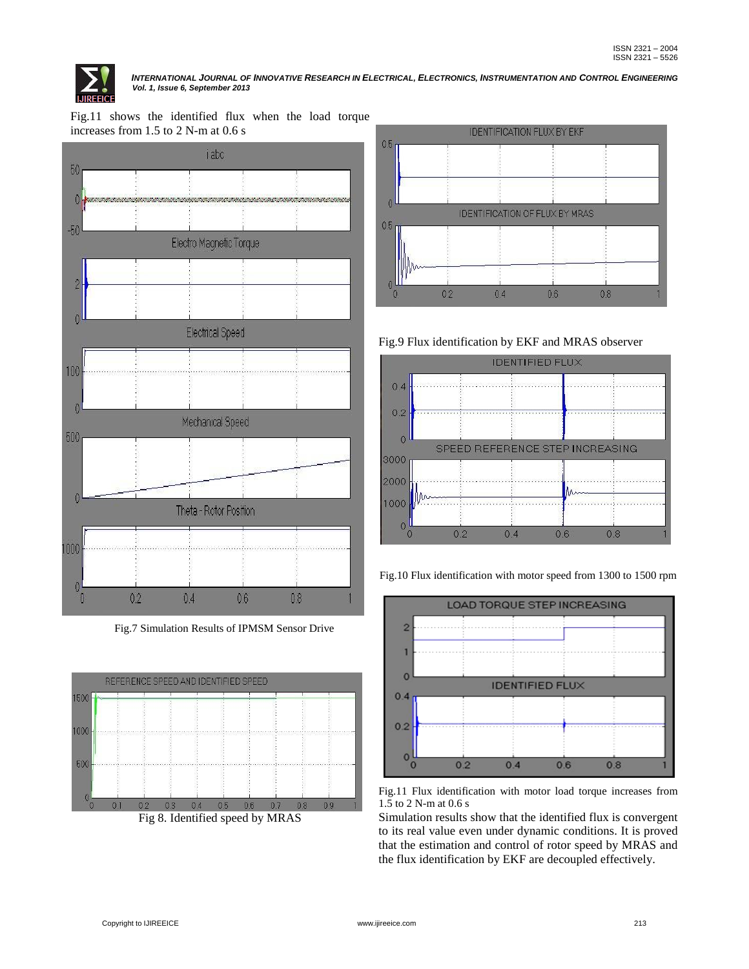

Fig.11 shows the identified flux when the load torque increases from 1.5 to 2 N-m at 0.6 s



Fig.7 Simulation Results of IPMSM Sensor Drive



Fig 8. Identified speed by MRAS



Fig.9 Flux identification by EKF and MRAS observer



Fig.10 Flux identification with motor speed from 1300 to 1500 rpm



Fig.11 Flux identification with motor load torque increases from 1.5 to 2 N-m at 0.6 s

Simulation results show that the identified flux is convergent to its real value even under dynamic conditions. It is proved that the estimation and control of rotor speed by MRAS and the flux identification by EKF are decoupled effectively.